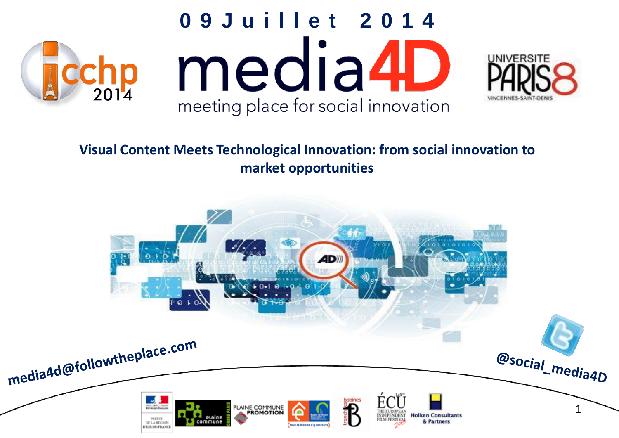

#### **Visual Content Meets Technological Innovation: from social innovation to market opportunities**

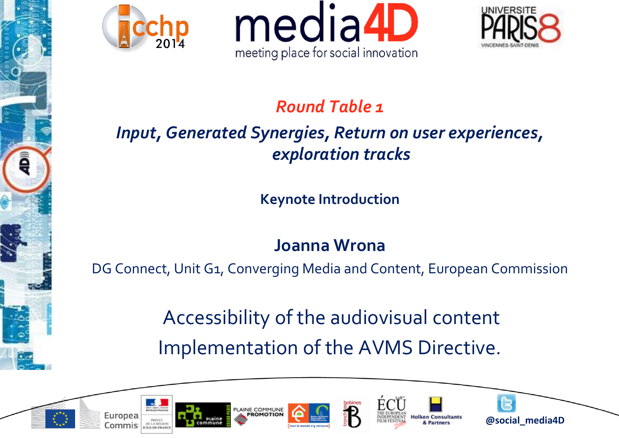





#### *Round Table 1*

#### *Input, Generated Synergies, Return on user experiences, exploration tracks*

**Keynote Introduction**

#### **Joanna Wrona**

DG Connect, Unit G1, Converging Media and Content, European Commission

Accessibility of the audiovisual content Implementation of the AVMS Directive.













<sup>2</sup> **@social\_media4D**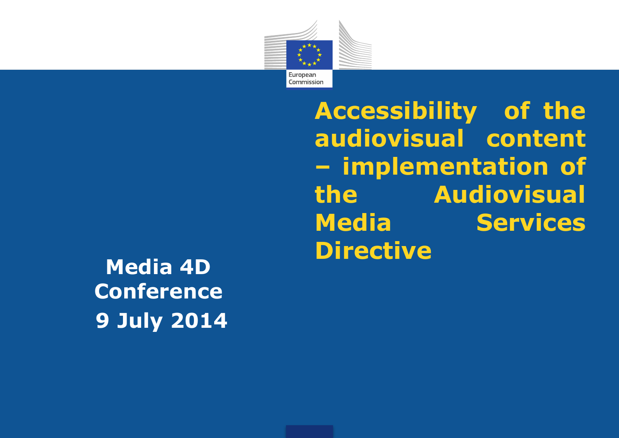

**Directive Media 4D Conference 9 July 2014**

**Accessibility of the audiovisual content – implementation of the Audiovisual Media Services**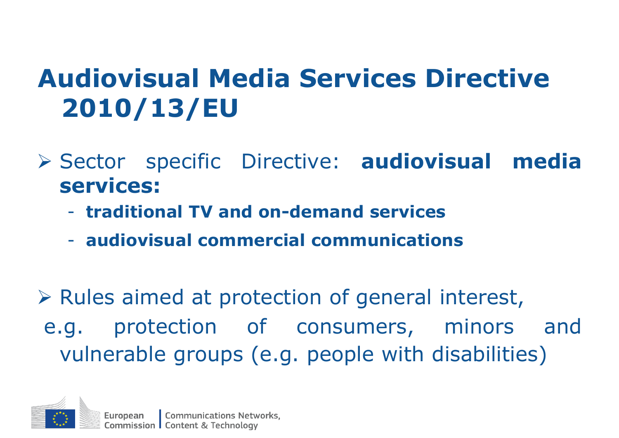#### **Audiovisual Media Services Directive 2010/13/EU**

- Sector specific Directive: **audiovisual media services:**
	- **traditional TV and on-demand services**
	- **audiovisual commercial communications**

 $\triangleright$  Rules aimed at protection of general interest, e.g. protection of consumers, minors and vulnerable groups (e.g. people with disabilities)

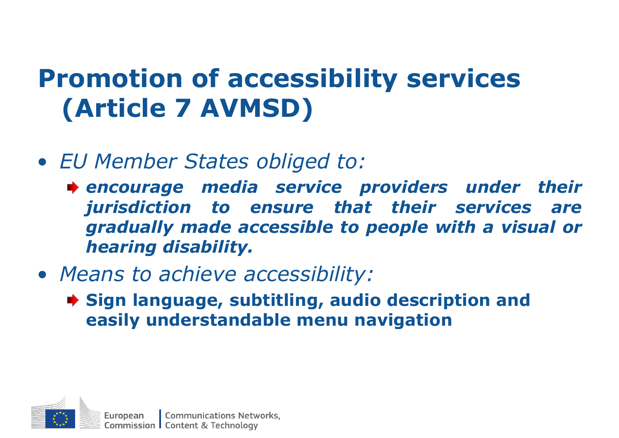## **Promotion of accessibility services (Article 7 AVMSD)**

- *EU Member States obliged to:*
	- *encourage media service providers under their jurisdiction to ensure that their services are gradually made accessible to people with a visual or hearing disability.*
- *Means to achieve accessibility:*
	- **Sign language, subtitling, audio description and easily understandable menu navigation**

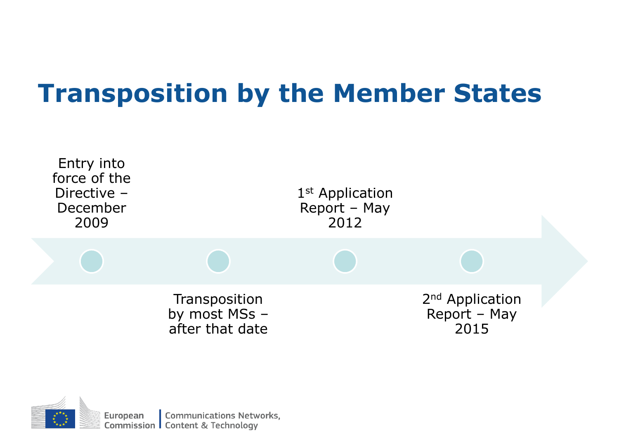## **Transposition by the Member States**



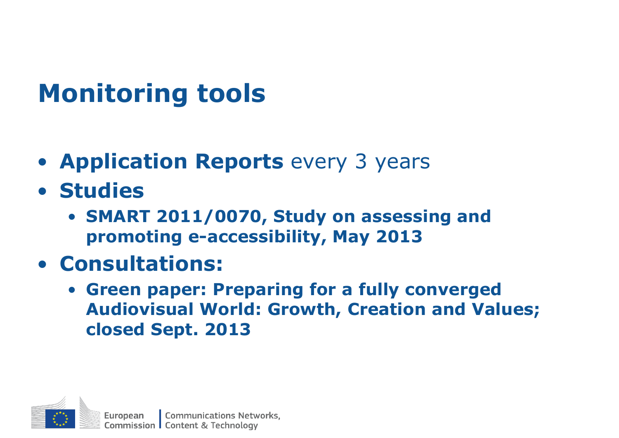## **Monitoring tools**

- **Application Reports** every 3 years
- **Studies**
	- **SMART 2011/0070, Study on assessing and promoting e-accessibility, May 2013**
- **Consultations:**
	- **Green paper: Preparing for a fully converged Audiovisual World: Growth, Creation and Values; closed Sept. 2013**

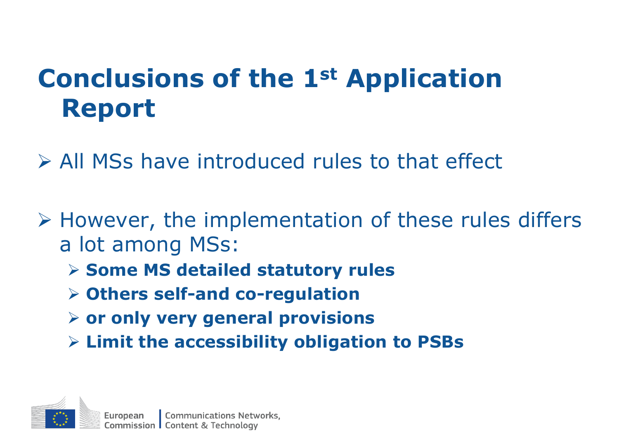## **Conclusions of the 1st Application Report**

All MSs have introduced rules to that effect

- $\triangleright$  However, the implementation of these rules differs a lot among MSs:
	- **Some MS detailed statutory rules**
	- **Others self-and co-regulation**
	- **or only very general provisions**
	- **Limit the accessibility obligation to PSBs**

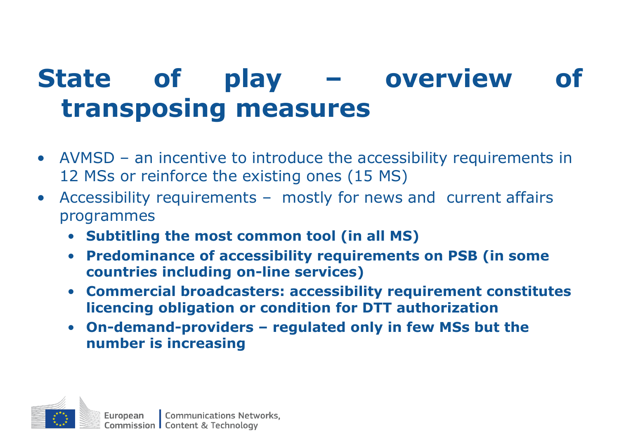### **State of play – overview of transposing measures**

- AVMSD an incentive to introduce the accessibility requirements in 12 MSs or reinforce the existing ones (15 MS)
- Accessibility requirements mostly for news and current affairs programmes
	- **Subtitling the most common tool (in all MS)**
	- **Predominance of accessibility requirements on PSB (in some countries including on-line services)**
	- **Commercial broadcasters: accessibility requirement constitutes licencing obligation or condition for DTT authorization**
	- **On-demand-providers – regulated only in few MSs but the number is increasing**

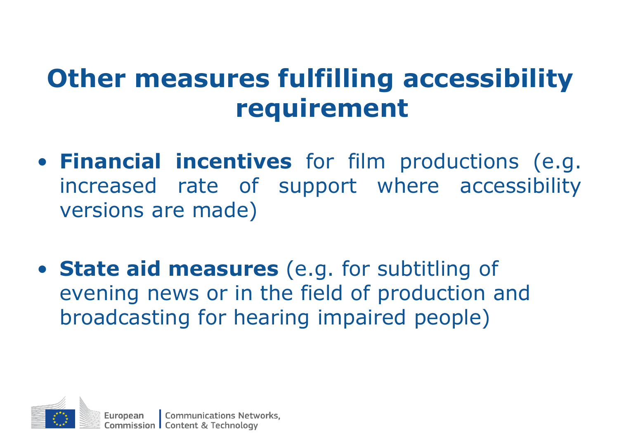#### **Other measures fulfilling accessibility requirement**

- **Financial incentives** for film productions (e.g. increased rate of support where accessibility versions are made)
- **State aid measures** (e.g. for subtitling of evening news or in the field of production and broadcasting for hearing impaired people)

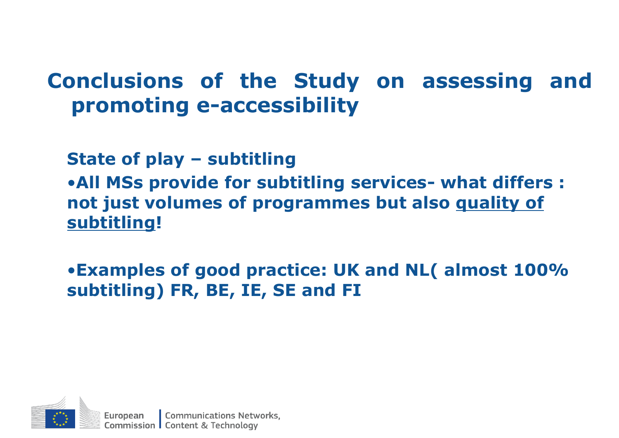#### **Conclusions of the Study on assessing and promoting e-accessibility**

**State of play – subtitling**

•**All MSs provide for subtitling services- what differs : not just volumes of programmes but also quality of subtitling!**

•**Examples of good practice: UK and NL( almost 100% subtitling) FR, BE, IE, SE and FI** 

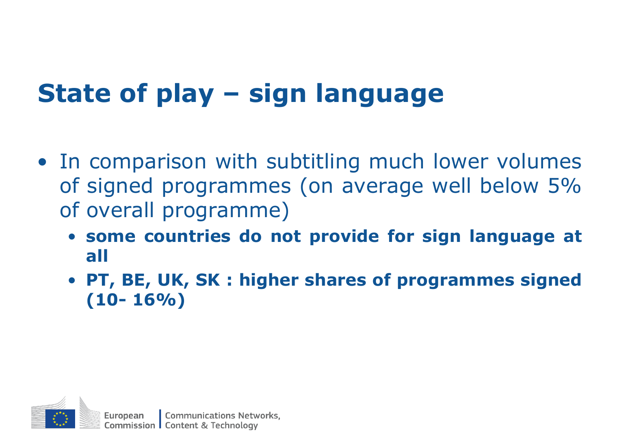# **State of play – sign language**

- In comparison with subtitling much lower volumes of signed programmes (on average well below 5% of overall programme)
	- **some countries do not provide for sign language at all**
	- **PT, BE, UK, SK : higher shares of programmes signed (10- 16%)**

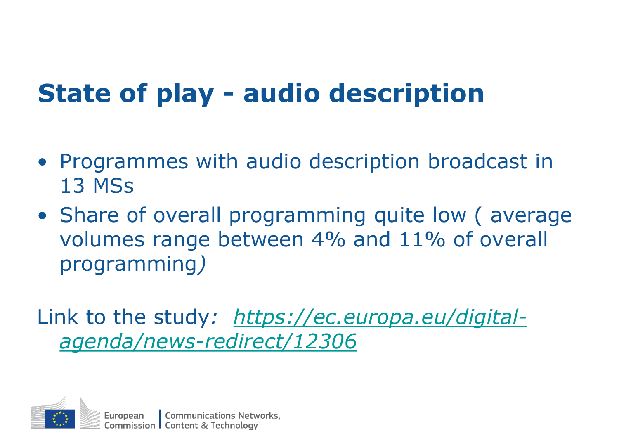## **State of play - audio description**

- Programmes with audio description broadcast in 13 MSs
- Share of overall programming quite low ( average volumes range between 4% and 11% of overall programming*)*

Link to the study*: https://ec.europa.eu/digital[agenda/news-redirect/12306](https://ec.europa.eu/digital-agenda/news-redirect/12306)*

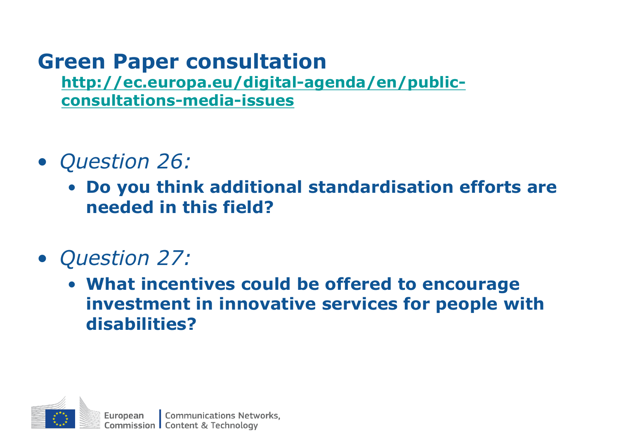#### **Green Paper consultation**

**[http://ec.europa.eu/digital-agenda/en/public](http://ec.europa.eu/digital-agenda/en/public-consultations-media-issues)consultations-media-issues**

- *Question 26:*
	- **Do you think additional standardisation efforts are needed in this field?**
- *Question 27:* 
	- **What incentives could be offered to encourage investment in innovative services for people with disabilities?**

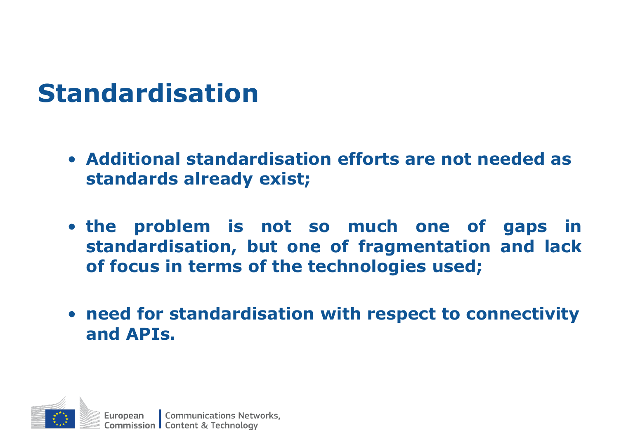#### **Standardisation**

- **Additional standardisation efforts are not needed as standards already exist;**
- **the problem is not so much one of gaps in standardisation, but one of fragmentation and lack of focus in terms of the technologies used;**
- **need for standardisation with respect to connectivity and APIs.**

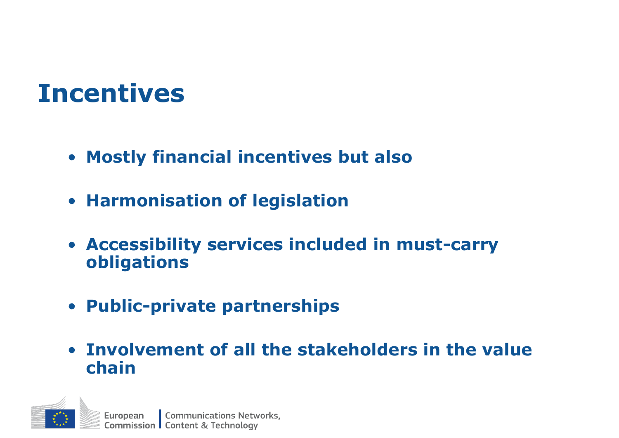#### **Incentives**

- **Mostly financial incentives but also**
- **Harmonisation of legislation**
- **Accessibility services included in must-carry obligations**
- **Public-private partnerships**
- **Involvement of all the stakeholders in the value chain**

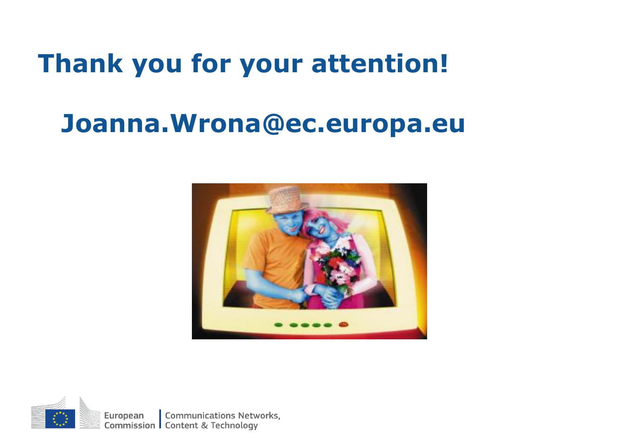#### **Thank you for your attention!**

#### **Joanna.Wrona@ec.europa.eu**